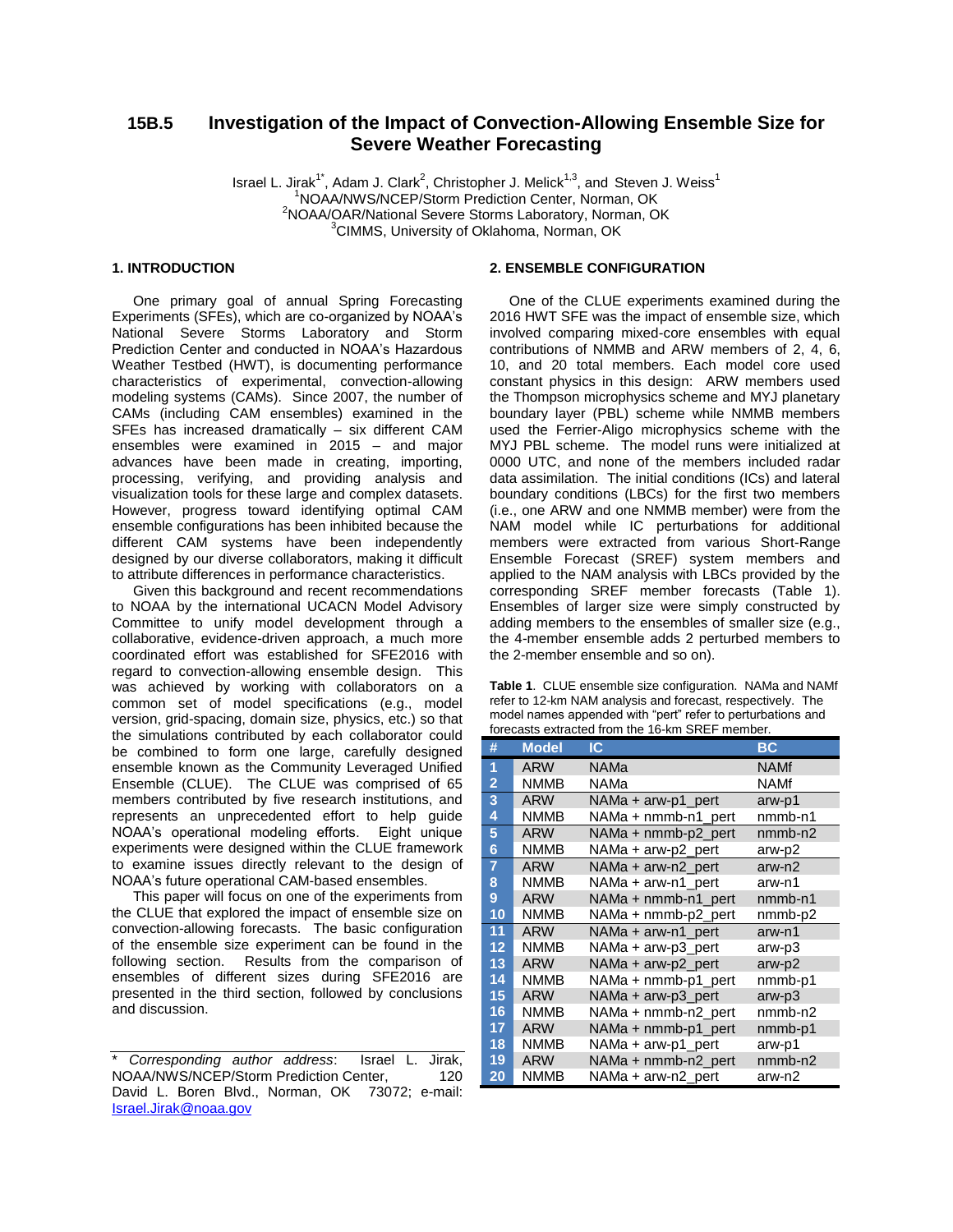# **15B.5 Investigation of the Impact of Convection-Allowing Ensemble Size for Severe Weather Forecasting**

Israel L. Jirak<sup>1\*</sup>, Adam J. Clark<sup>2</sup>, Christopher J. Melick<sup>1,3</sup>, and Steven J. Weiss<sup>1</sup> <sup>1</sup>NOAA/NWS/NCEP/Storm Prediction Center, Norman, OK <sup>2</sup>NOAA/OAR/National Severe Storms Laboratory, Norman, OK <sup>3</sup>CIMMS, University of Oklahoma, Norman, OK

# **1. INTRODUCTION**

One primary goal of annual Spring Forecasting Experiments (SFEs), which are co-organized by NOAA's National Severe Storms Laboratory and Storm Prediction Center and conducted in NOAA's Hazardous Weather Testbed (HWT), is documenting performance characteristics of experimental, convection-allowing modeling systems (CAMs). Since 2007, the number of CAMs (including CAM ensembles) examined in the SFEs has increased dramatically – six different CAM ensembles were examined in 2015 – and major advances have been made in creating, importing, processing, verifying, and providing analysis and visualization tools for these large and complex datasets. However, progress toward identifying optimal CAM ensemble configurations has been inhibited because the different CAM systems have been independently designed by our diverse collaborators, making it difficult to attribute differences in performance characteristics.

Given this background and recent recommendations to NOAA by the international UCACN Model Advisory Committee to unify model development through a collaborative, evidence-driven approach, a much more coordinated effort was established for SFE2016 with regard to convection-allowing ensemble design. This was achieved by working with collaborators on a common set of model specifications (e.g., model version, grid-spacing, domain size, physics, etc.) so that the simulations contributed by each collaborator could be combined to form one large, carefully designed ensemble known as the Community Leveraged Unified Ensemble (CLUE). The CLUE was comprised of 65 members contributed by five research institutions, and represents an unprecedented effort to help guide NOAA's operational modeling efforts. Eight unique experiments were designed within the CLUE framework to examine issues directly relevant to the design of NOAA's future operational CAM-based ensembles.

This paper will focus on one of the experiments from the CLUE that explored the impact of ensemble size on convection-allowing forecasts. The basic configuration of the ensemble size experiment can be found in the following section. Results from the comparison of ensembles of different sizes during SFE2016 are presented in the third section, followed by conclusions and discussion.

### **2. ENSEMBLE CONFIGURATION**

 One of the CLUE experiments examined during the 2016 HWT SFE was the impact of ensemble size, which involved comparing mixed-core ensembles with equal contributions of NMMB and ARW members of 2, 4, 6, 10, and 20 total members. Each model core used constant physics in this design: ARW members used the Thompson microphysics scheme and MYJ planetary boundary layer (PBL) scheme while NMMB members used the Ferrier-Aligo microphysics scheme with the MYJ PBL scheme. The model runs were initialized at 0000 UTC, and none of the members included radar data assimilation. The initial conditions (ICs) and lateral boundary conditions (LBCs) for the first two members (i.e., one ARW and one NMMB member) were from the NAM model while IC perturbations for additional members were extracted from various Short-Range Ensemble Forecast (SREF) system members and applied to the NAM analysis with LBCs provided by the corresponding SREF member forecasts (Table 1). Ensembles of larger size were simply constructed by adding members to the ensembles of smaller size (e.g., the 4-member ensemble adds 2 perturbed members to the 2-member ensemble and so on).

**Table 1**. CLUE ensemble size configuration. NAMa and NAMf refer to 12-km NAM analysis and forecast, respectively. The model names appended with "pert" refer to perturbations and forecasts extracted from the 16-km SREF member.

| #                 | <b>Model</b> | IC.                 | ВC          |
|-------------------|--------------|---------------------|-------------|
| 1                 | ARW          | NAMa                | <b>NAMf</b> |
| 2                 | <b>NMMB</b>  | NAMa                | <b>NAMf</b> |
| 3                 | <b>ARW</b>   | NAMa + arw-p1_pert  | arw-p1      |
| 4                 | <b>NMMB</b>  | NAMa + nmmb-n1 pert | nmmb-n1     |
| 5                 | <b>ARW</b>   | NAMa + nmmb-p2 pert | nmmb-n2     |
| 6                 | <b>NMMB</b>  | NAMa + arw-p2_pert  | arw-p2      |
| $\overline{7}$    | <b>ARW</b>   | NAMa + arw-n2 pert  | arw-n2      |
| 8                 | <b>NMMB</b>  | NAMa + arw-n1_pert  | arw-n1      |
| 9                 | <b>ARW</b>   | NAMa + nmmb-n1_pert | nmmb-n1     |
| 10                | <b>NMMB</b>  | NAMa + nmmb-p2_pert | nmmb-p2     |
| 11                | <b>ARW</b>   | NAMa + arw-n1 pert  | arw-n1      |
| $12 \overline{ }$ | <b>NMMB</b>  | NAMa + arw-p3_pert  | arw-p3      |
| 13                | <b>ARW</b>   | NAMa + arw-p2_pert  | arw-p2      |
| 14                | <b>NMMB</b>  | NAMa + nmmb-p1 pert | nmmb-p1     |
| 15                | <b>ARW</b>   | NAMa + arw-p3 pert  | arw-p3      |
| 16                | <b>NMMB</b>  | NAMa + nmmb-n2_pert | $nmmb-n2$   |
| 17                | <b>ARW</b>   | NAMa + nmmb-p1_pert | nmmb-p1     |
| 18                | <b>NMMB</b>  | NAMa + arw-p1_pert  | arw-p1      |
| 19                | <b>ARW</b>   | NAMa + nmmb-n2_pert | nmmb-n2     |
| 20                | <b>NMMB</b>  | NAMa + arw-n2_pert  | arw-n2      |

<sup>\*</sup> *Corresponding author address*: Israel L. Jirak, NOAA/NWS/NCEP/Storm Prediction Center, 120 David L. Boren Blvd., Norman, OK 73072; e-mail: [Israel.Jirak@noaa.gov](mailto:Israel.Jirak@noaa.gov)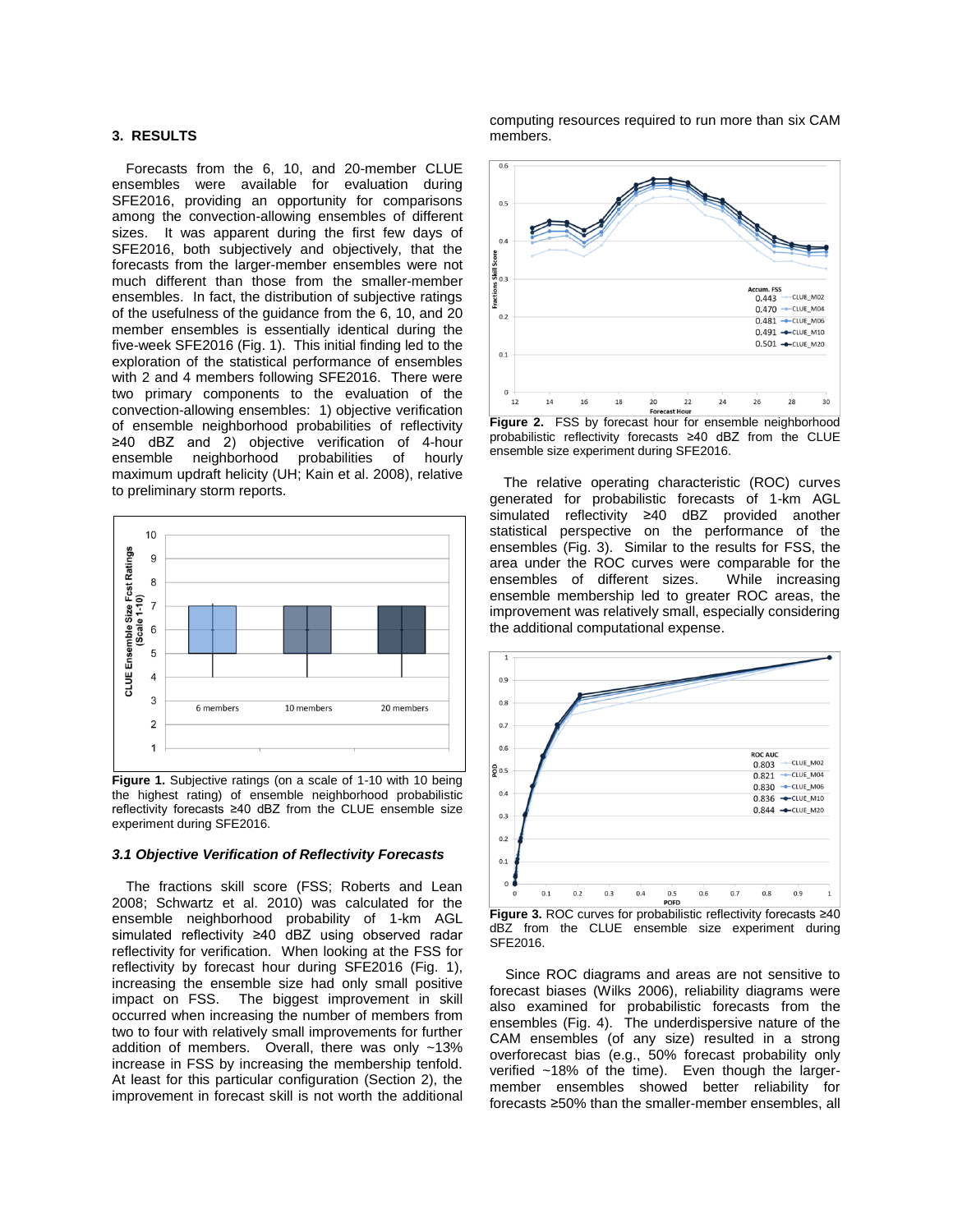### **3. RESULTS**

Forecasts from the 6, 10, and 20-member CLUE ensembles were available for evaluation during SFE2016, providing an opportunity for comparisons among the convection-allowing ensembles of different sizes. It was apparent during the first few days of SFE2016, both subjectively and objectively, that the forecasts from the larger-member ensembles were not much different than those from the smaller-member ensembles. In fact, the distribution of subjective ratings of the usefulness of the guidance from the 6, 10, and 20 member ensembles is essentially identical during the five-week SFE2016 (Fig. 1). This initial finding led to the exploration of the statistical performance of ensembles with 2 and 4 members following SFE2016. There were two primary components to the evaluation of the convection-allowing ensembles: 1) objective verification of ensemble neighborhood probabilities of reflectivity ≥40 dBZ and 2) objective verification of 4-hour ensemble neighborhood probabilities of hourly maximum updraft helicity (UH; Kain et al. 2008), relative to preliminary storm reports.



**Figure 1.** Subjective ratings (on a scale of 1-10 with 10 being the highest rating) of ensemble neighborhood probabilistic reflectivity forecasts ≥40 dBZ from the CLUE ensemble size experiment during SFE2016.

### *3.1 Objective Verification of Reflectivity Forecasts*

The fractions skill score (FSS; Roberts and Lean 2008; Schwartz et al. 2010) was calculated for the ensemble neighborhood probability of 1-km AGL simulated reflectivity ≥40 dBZ using observed radar reflectivity for verification. When looking at the FSS for reflectivity by forecast hour during SFE2016 (Fig. 1), increasing the ensemble size had only small positive impact on FSS. The biggest improvement in skill occurred when increasing the number of members from two to four with relatively small improvements for further addition of members. Overall, there was only ~13% increase in FSS by increasing the membership tenfold. At least for this particular configuration (Section 2), the improvement in forecast skill is not worth the additional

computing resources required to run more than six CAM members.



probabilistic reflectivity forecasts ≥40 dBZ from the CLUE ensemble size experiment during SFE2016.

The relative operating characteristic (ROC) curves generated for probabilistic forecasts of 1-km AGL simulated reflectivity ≥40 dBZ provided another statistical perspective on the performance of the ensembles (Fig. 3). Similar to the results for FSS, the area under the ROC curves were comparable for the ensembles of different sizes. While increasing ensemble membership led to greater ROC areas, the improvement was relatively small, especially considering the additional computational expense.



**Figure 3.** ROC curves for probabilistic reflectivity forecasts ≥40 dBZ from the CLUE ensemble size experiment during SFE2016.

 Since ROC diagrams and areas are not sensitive to forecast biases (Wilks 2006), reliability diagrams were also examined for probabilistic forecasts from the ensembles (Fig. 4). The underdispersive nature of the CAM ensembles (of any size) resulted in a strong overforecast bias (e.g., 50% forecast probability only verified ~18% of the time). Even though the largermember ensembles showed better reliability for forecasts ≥50% than the smaller-member ensembles, all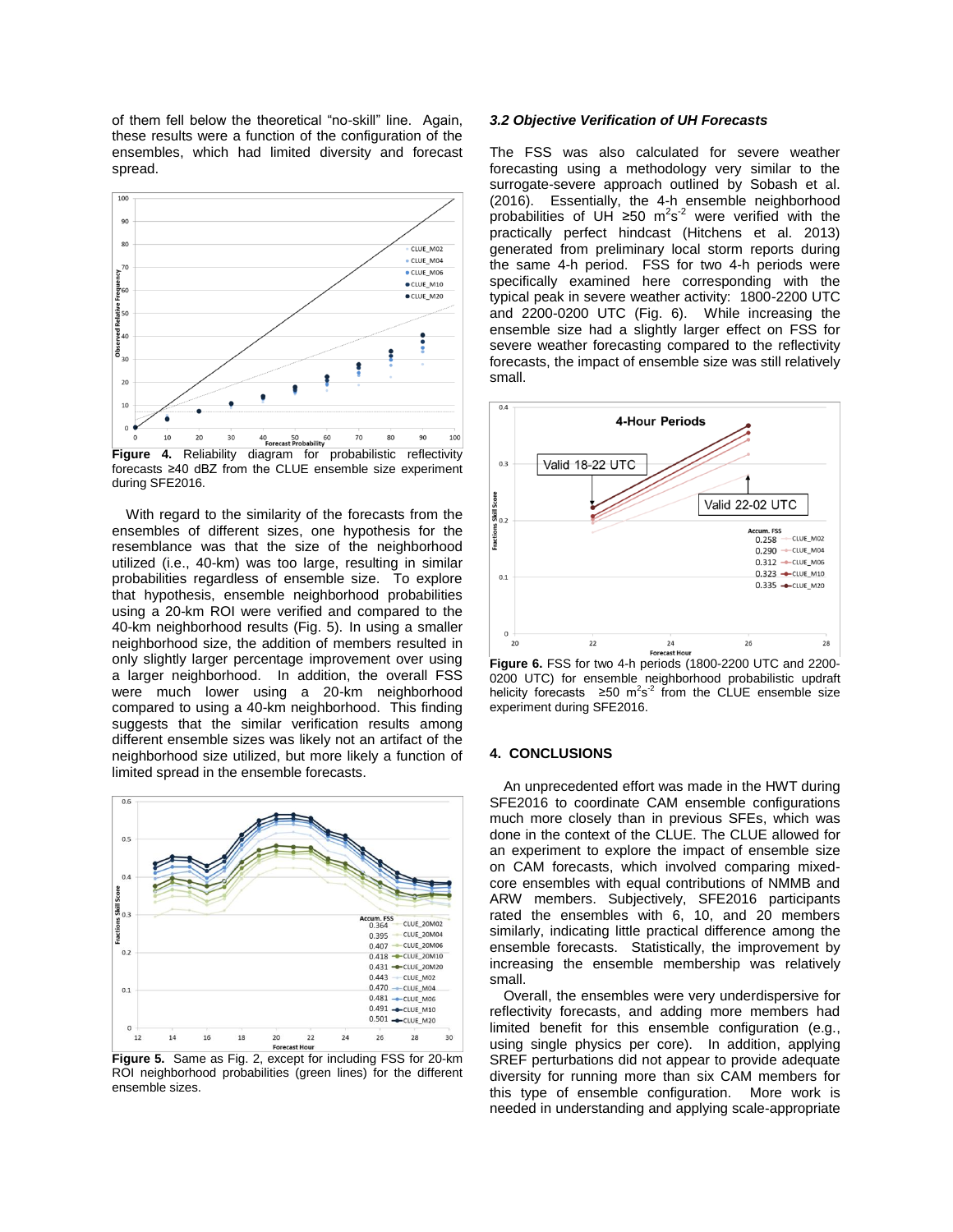of them fell below the theoretical "no-skill" line. Again, these results were a function of the configuration of the ensembles, which had limited diversity and forecast spread.



forecasts ≥40 dBZ from the CLUE ensemble size experiment during SFE2016.

With regard to the similarity of the forecasts from the ensembles of different sizes, one hypothesis for the resemblance was that the size of the neighborhood utilized (i.e., 40-km) was too large, resulting in similar probabilities regardless of ensemble size. To explore that hypothesis, ensemble neighborhood probabilities using a 20-km ROI were verified and compared to the 40-km neighborhood results (Fig. 5). In using a smaller neighborhood size, the addition of members resulted in only slightly larger percentage improvement over using a larger neighborhood. In addition, the overall FSS were much lower using a 20-km neighborhood compared to using a 40-km neighborhood. This finding suggests that the similar verification results among different ensemble sizes was likely not an artifact of the neighborhood size utilized, but more likely a function of limited spread in the ensemble forecasts.



**Figure 5.** Same as Fig. 2, except for including FSS for 20-km ROI neighborhood probabilities (green lines) for the different ensemble sizes.

#### *3.2 Objective Verification of UH Forecasts*

The FSS was also calculated for severe weather forecasting using a methodology very similar to the surrogate-severe approach outlined by Sobash et al. (2016). Essentially, the 4-h ensemble neighborhood probabilities of UH ≥50 m<sup>2</sup>s<sup>-2</sup> were verified with the practically perfect hindcast (Hitchens et al. 2013) generated from preliminary local storm reports during the same 4-h period. FSS for two 4-h periods were specifically examined here corresponding with the typical peak in severe weather activity: 1800-2200 UTC and 2200-0200 UTC (Fig. 6). While increasing the ensemble size had a slightly larger effect on FSS for severe weather forecasting compared to the reflectivity forecasts, the impact of ensemble size was still relatively small.



**Figure 6.** FSS for two 4-h periods (1800-2200 UTC and 2200- 0200 UTC) for ensemble neighborhood probabilistic updraft helicity forecasts  $\geq 50$  m<sup>2</sup>s<sup>-2</sup> from the CLUE ensemble size experiment during SFE2016.

## **4. CONCLUSIONS**

An unprecedented effort was made in the HWT during SFE2016 to coordinate CAM ensemble configurations much more closely than in previous SFEs, which was done in the context of the CLUE. The CLUE allowed for an experiment to explore the impact of ensemble size on CAM forecasts, which involved comparing mixedcore ensembles with equal contributions of NMMB and ARW members. Subjectively, SFE2016 participants rated the ensembles with 6, 10, and 20 members similarly, indicating little practical difference among the ensemble forecasts. Statistically, the improvement by increasing the ensemble membership was relatively small.

Overall, the ensembles were very underdispersive for reflectivity forecasts, and adding more members had limited benefit for this ensemble configuration (e.g., using single physics per core). In addition, applying SREF perturbations did not appear to provide adequate diversity for running more than six CAM members for this type of ensemble configuration. More work is needed in understanding and applying scale-appropriate